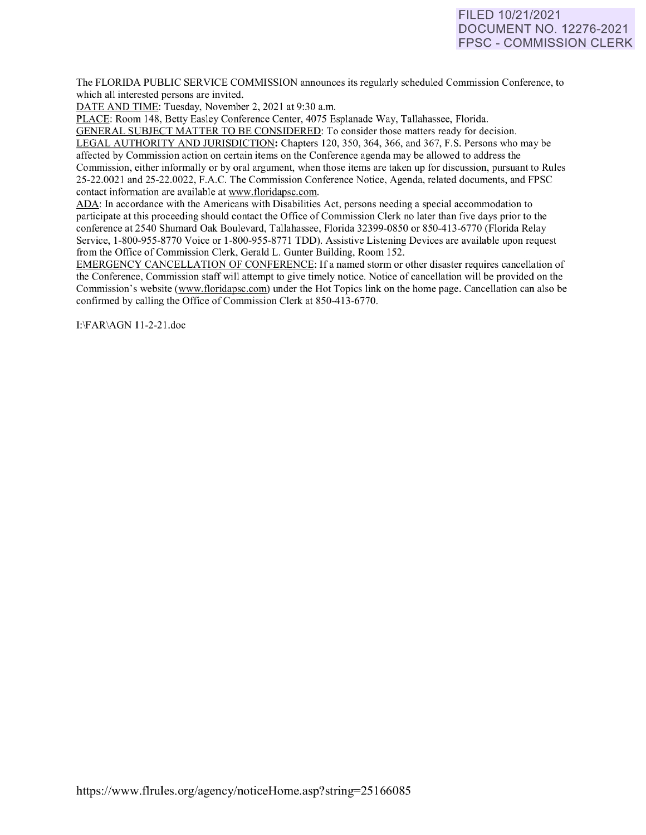# FILED 10/21/2021 DOCUMENT NO. 12276-2021 FPSC - COMMISSION CLERK

The FLORIDA PUBLIC SERVICE COMMISSION announces its regularly scheduled Commission Conference, to which all interested persons are invited.

DATE AND TIME: Tuesday, November 2, 2021 at 9:30 a.m.

PLACE: Room 148, Betty Easley Conference Center, 4075 Esplanade Way, Tallahassee, Florida.

GENERAL SUBJECT MATTER TO BE CONSIDERED: To consider those matters ready for decision. LEGAL AUTHORITY AND JURISDICTION: Chapters 120, 350, 364, 366, and 367, F.S. Persons who may be affected by Commission action on certain items on the Conference agenda may be allowed to address the Commission, either informally or by oral argument, when those items are taken up for discussion, pursuant to Rules 25-22.0021 and 25-22.0022, F.A.C. The Commission Conference Notice, Agenda, related documents, and FPSC contact information are available at [www.floridapsc.com.](http://www.floridapsc.com/) 

ADA: In accordance with the Americans with Disabilities Act, persons needing a special accommodation to participate at this proceeding should contact the Office of Commission Clerk no later than five days prior to the conference at 2540 Shumard Oak Boulevard, Tallahassee, Florida 32399-0850 or 850-41 3-6770 (Florida Relay Service, 1-800-955-8770 Voice or 1-800-955-8771 TDD). Assistive Listening Devices are available upon request from the Office of Commission Clerk, Gerald L. Gunter Building, Room 152.

EMERGENCY CANCELLATION OF CONFERENCE: If a named storm or other disaster requires cancellation of the Conference, Commission staff will attempt to give timely notice. Notice of cancellation will be provided on the Commission's website [\(www.floridapsc.com\)](http://www.floridapsc.com/) under the Hot Topics link on the home page. Cancellation can also be confirmed by calling the Office of Commission Clerk at 850-413-6770.

I:\FAR\AGN 11-2-21.doc